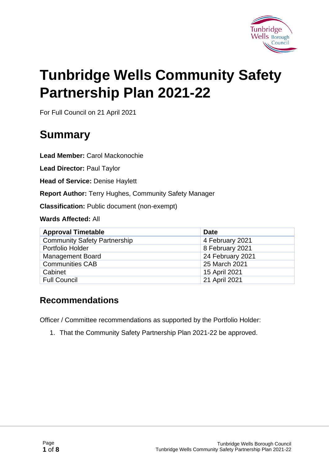

# **Tunbridge Wells Community Safety Partnership Plan 2021-22**

For Full Council on 21 April 2021

# **Summary**

**Lead Member:** Carol Mackonochie

**Lead Director:** Paul Taylor

**Head of Service:** Denise Haylett

**Report Author:** Terry Hughes, Community Safety Manager

**Classification:** Public document (non-exempt)

**Wards Affected:** All

| <b>Approval Timetable</b>           | <b>Date</b>      |
|-------------------------------------|------------------|
| <b>Community Safety Partnership</b> | 4 February 2021  |
| Portfolio Holder                    | 8 February 2021  |
| <b>Management Board</b>             | 24 February 2021 |
| <b>Communities CAB</b>              | 25 March 2021    |
| Cabinet                             | 15 April 2021    |
| <b>Full Council</b>                 | 21 April 2021    |

#### **Recommendations**

Officer / Committee recommendations as supported by the Portfolio Holder:

1. That the Community Safety Partnership Plan 2021-22 be approved.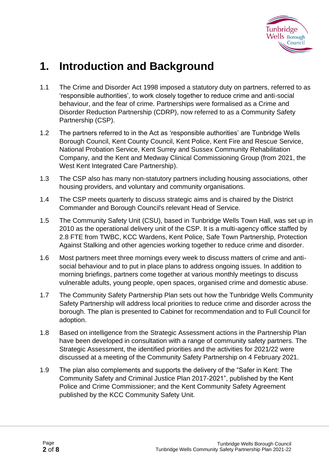

### **1. Introduction and Background**

- 1.1 The Crime and Disorder Act 1998 imposed a statutory duty on partners, referred to as 'responsible authorities', to work closely together to reduce crime and anti-social behaviour, and the fear of crime. Partnerships were formalised as a Crime and Disorder Reduction Partnership (CDRP), now referred to as a Community Safety Partnership (CSP).
- 1.2 The partners referred to in the Act as 'responsible authorities' are Tunbridge Wells Borough Council, Kent County Council, Kent Police, Kent Fire and Rescue Service, National Probation Service, Kent Surrey and Sussex Community Rehabilitation Company, and the Kent and Medway Clinical Commissioning Group (from 2021, the West Kent Integrated Care Partnership).
- 1.3 The CSP also has many non-statutory partners including housing associations, other housing providers, and voluntary and community organisations.
- 1.4 The CSP meets quarterly to discuss strategic aims and is chaired by the District Commander and Borough Council's relevant Head of Service.
- 1.5 The Community Safety Unit (CSU), based in Tunbridge Wells Town Hall, was set up in 2010 as the operational delivery unit of the CSP. It is a multi-agency office staffed by 2.8 FTE from TWBC, KCC Wardens, Kent Police, Safe Town Partnership, Protection Against Stalking and other agencies working together to reduce crime and disorder.
- 1.6 Most partners meet three mornings every week to discuss matters of crime and antisocial behaviour and to put in place plans to address ongoing issues. In addition to morning briefings, partners come together at various monthly meetings to discuss vulnerable adults, young people, open spaces, organised crime and domestic abuse.
- 1.7 The Community Safety Partnership Plan sets out how the Tunbridge Wells Community Safety Partnership will address local priorities to reduce crime and disorder across the borough. The plan is presented to Cabinet for recommendation and to Full Council for adoption.
- 1.8 Based on intelligence from the Strategic Assessment actions in the Partnership Plan have been developed in consultation with a range of community safety partners. The Strategic Assessment, the identified priorities and the activities for 2021/22 were discussed at a meeting of the Community Safety Partnership on 4 February 2021.
- 1.9 The plan also complements and supports the delivery of the "Safer in Kent: The Community Safety and Criminal Justice Plan 2017-2021", published by the Kent Police and Crime Commissioner; and the Kent Community Safety Agreement published by the KCC Community Safety Unit.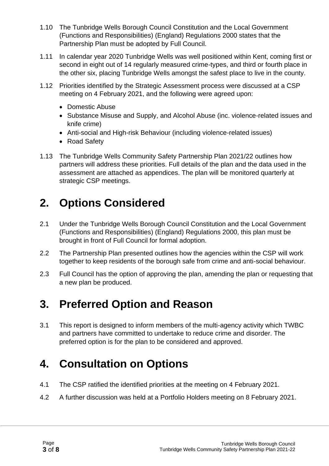- 1.10 The Tunbridge Wells Borough Council Constitution and the Local Government (Functions and Responsibilities) (England) Regulations 2000 states that the Partnership Plan must be adopted by Full Council.
- 1.11 In calendar year 2020 Tunbridge Wells was well positioned within Kent, coming first or second in eight out of 14 regularly measured crime-types, and third or fourth place in the other six, placing Tunbridge Wells amongst the safest place to live in the county.
- 1.12 Priorities identified by the Strategic Assessment process were discussed at a CSP meeting on 4 February 2021, and the following were agreed upon:
	- Domestic Abuse
	- Substance Misuse and Supply, and Alcohol Abuse (inc. violence-related issues and knife crime)
	- Anti-social and High-risk Behaviour (including violence-related issues)
	- Road Safety
- 1.13 The Tunbridge Wells Community Safety Partnership Plan 2021/22 outlines how partners will address these priorities. Full details of the plan and the data used in the assessment are attached as appendices. The plan will be monitored quarterly at strategic CSP meetings.

### **2. Options Considered**

- 2.1 Under the Tunbridge Wells Borough Council Constitution and the Local Government (Functions and Responsibilities) (England) Regulations 2000, this plan must be brought in front of Full Council for formal adoption.
- 2.2 The Partnership Plan presented outlines how the agencies within the CSP will work together to keep residents of the borough safe from crime and anti-social behaviour.
- 2.3 Full Council has the option of approving the plan, amending the plan or requesting that a new plan be produced.

### **3. Preferred Option and Reason**

3.1 This report is designed to inform members of the multi-agency activity which TWBC and partners have committed to undertake to reduce crime and disorder. The preferred option is for the plan to be considered and approved.

### **4. Consultation on Options**

- 4.1 The CSP ratified the identified priorities at the meeting on 4 February 2021.
- 4.2 A further discussion was held at a Portfolio Holders meeting on 8 February 2021.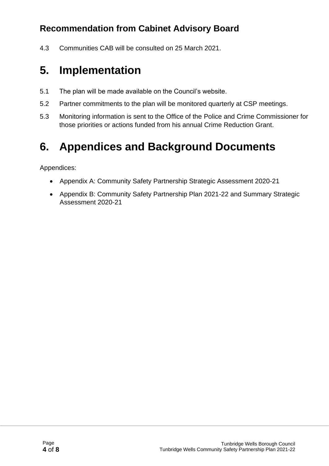#### **Recommendation from Cabinet Advisory Board**

4.3 Communities CAB will be consulted on 25 March 2021.

## **5. Implementation**

- 5.1 The plan will be made available on the Council's website.
- 5.2 Partner commitments to the plan will be monitored quarterly at CSP meetings.
- 5.3 Monitoring information is sent to the Office of the Police and Crime Commissioner for those priorities or actions funded from his annual Crime Reduction Grant.

## **6. Appendices and Background Documents**

Appendices:

- Appendix A: Community Safety Partnership Strategic Assessment 2020-21
- Appendix B: Community Safety Partnership Plan 2021-22 and Summary Strategic Assessment 2020-21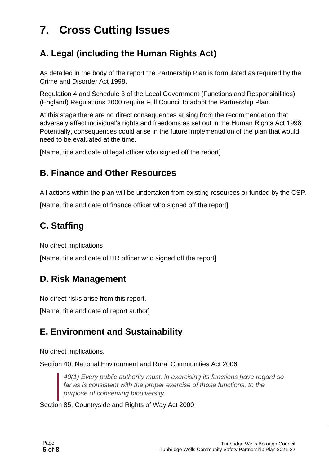# **7. Cross Cutting Issues**

#### **A. Legal (including the Human Rights Act)**

As detailed in the body of the report the Partnership Plan is formulated as required by the Crime and Disorder Act 1998.

Regulation 4 and Schedule 3 of the Local Government (Functions and Responsibilities) (England) Regulations 2000 require Full Council to adopt the Partnership Plan.

At this stage there are no direct consequences arising from the recommendation that adversely affect individual's rights and freedoms as set out in the Human Rights Act 1998. Potentially, consequences could arise in the future implementation of the plan that would need to be evaluated at the time.

[Name, title and date of legal officer who signed off the report]

#### **B. Finance and Other Resources**

All actions within the plan will be undertaken from existing resources or funded by the CSP.

[Name, title and date of finance officer who signed off the report]

#### **C. Staffing**

No direct implications

[Name, title and date of HR officer who signed off the report]

#### **D. Risk Management**

No direct risks arise from this report.

[Name, title and date of report author]

#### **E. Environment and Sustainability**

No direct implications.

Section 40, National Environment and Rural Communities Act 2006

*40(1) Every public authority must, in exercising its functions have regard so far as is consistent with the proper exercise of those functions, to the purpose of conserving biodiversity.*

Section 85, Countryside and Rights of Way Act 2000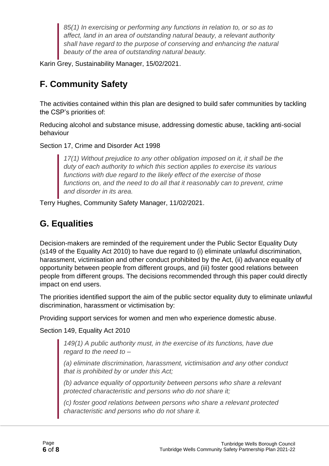*85(1) In exercising or performing any functions in relation to, or so as to affect, land in an area of outstanding natural beauty, a relevant authority shall have regard to the purpose of conserving and enhancing the natural beauty of the area of outstanding natural beauty.*

Karin Grey, Sustainability Manager, 15/02/2021.

#### **F. Community Safety**

The activities contained within this plan are designed to build safer communities by tackling the CSP's priorities of:

Reducing alcohol and substance misuse, addressing domestic abuse, tackling anti-social behaviour

Section 17, Crime and Disorder Act 1998

*17(1) Without prejudice to any other obligation imposed on it, it shall be the duty of each authority to which this section applies to exercise its various functions with due regard to the likely effect of the exercise of those functions on, and the need to do all that it reasonably can to prevent, crime and disorder in its area.*

Terry Hughes, Community Safety Manager, 11/02/2021.

#### **G. Equalities**

Decision-makers are reminded of the requirement under the Public Sector Equality Duty (s149 of the Equality Act 2010) to have due regard to (i) eliminate unlawful discrimination, harassment, victimisation and other conduct prohibited by the Act, (ii) advance equality of opportunity between people from different groups, and (iii) foster good relations between people from different groups. The decisions recommended through this paper could directly impact on end users.

The priorities identified support the aim of the public sector equality duty to eliminate unlawful discrimination, harassment or victimisation by:

Providing support services for women and men who experience domestic abuse.

Section 149, Equality Act 2010

*149(1) A public authority must, in the exercise of its functions, have due regard to the need to –*

*(a) eliminate discrimination, harassment, victimisation and any other conduct that is prohibited by or under this Act;*

*(b) advance equality of opportunity between persons who share a relevant protected characteristic and persons who do not share it;*

*(c) foster good relations between persons who share a relevant protected characteristic and persons who do not share it.*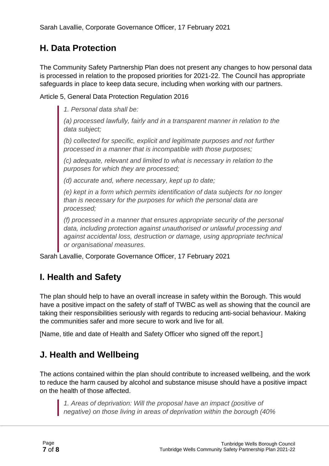#### **H. Data Protection**

The Community Safety Partnership Plan does not present any changes to how personal data is processed in relation to the proposed priorities for 2021-22. The Council has appropriate safeguards in place to keep data secure, including when working with our partners.

Article 5, General Data Protection Regulation 2016

*1. Personal data shall be:*

*(a) processed lawfully, fairly and in a transparent manner in relation to the data subject;*

*(b) collected for specific, explicit and legitimate purposes and not further processed in a manner that is incompatible with those purposes;*

*(c) adequate, relevant and limited to what is necessary in relation to the purposes for which they are processed;*

*(d) accurate and, where necessary, kept up to date;*

*(e) kept in a form which permits identification of data subjects for no longer than is necessary for the purposes for which the personal data are processed;*

*(f) processed in a manner that ensures appropriate security of the personal data, including protection against unauthorised or unlawful processing and against accidental loss, destruction or damage, using appropriate technical or organisational measures.*

Sarah Lavallie, Corporate Governance Officer, 17 February 2021

#### **I. Health and Safety**

The plan should help to have an overall increase in safety within the Borough. This would have a positive impact on the safety of staff of TWBC as well as showing that the council are taking their responsibilities seriously with regards to reducing anti-social behaviour. Making the communities safer and more secure to work and live for all.

[Name, title and date of Health and Safety Officer who signed off the report.]

#### **J. Health and Wellbeing**

The actions contained within the plan should contribute to increased wellbeing, and the work to reduce the harm caused by alcohol and substance misuse should have a positive impact on the health of those affected.

*1. Areas of deprivation: Will the proposal have an impact (positive of negative) on those living in areas of deprivation within the borough (40%*